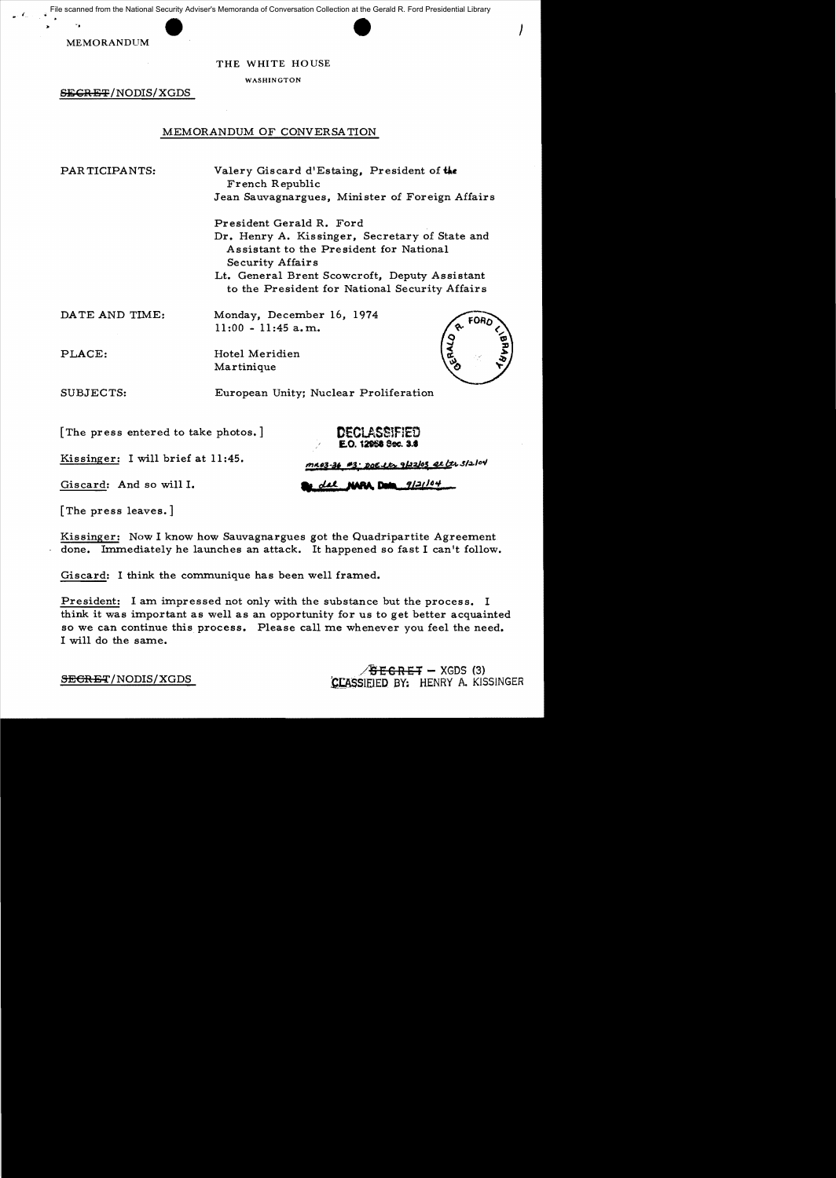File scanned from the National Security Adviser's Memoranda of Conversation Collection at the Gerald R. Ford Presidential Library

MEMORANDUM

-.

#### THE WHITE HOUSE

WASHINGTON

SECRET/NODIS/XGDS

# MEMORANDUM OF CONVERSA TION

PAR TICIPANTS:

Valery Giscard d'Estaing, President of **Uc**  French Republic Jean Sauvagnargues, Minister of Foreign Affairs  $\prime$ 

President Gerald R. Ford Dr. Henry A. Kissinger, Secretary of State and Assistant to the President for National Se curity Affairs Lt. General Brent Scowcroft, Deputy Assistant to the President for National Security Affairs

DATE AND TIME:

Monday, December 16, 1974 11 :00 - 11 :45 a. m.

Hotel Meridien Martinique

SUBJECTS:

PLACE:

European Unity; Nuclear Proliferation

[The press entered to take photos. ]

DECLASSIFIED E.O. 12068 Sec. 3.8

Kissinger: I will brief at 11 :45.

Giscard: And so will 1.

 $9/21/04$ NAPA. Data

n<u>203-36 #3: DOE Lts 9/22/03 Rt (</u>tr 3/2/04

[The press leaves.]

Kissinger: Now I know how Sauvagnargues got the Quadripartite Agreement done. Immediately he launches an attack. It happened so fast I can't follow.

Giscard: I think the communique has been well framed.

President: 1 am impressed not only with the substance but the process. I think it was important as well as an opportunity for us to get better acquainted so we can continue this process. Please call me whenever you feel the need. I will do the same.

> $S$ RET - XGDS (3) CLASSIEIED BY: HENRY A. KISSINGER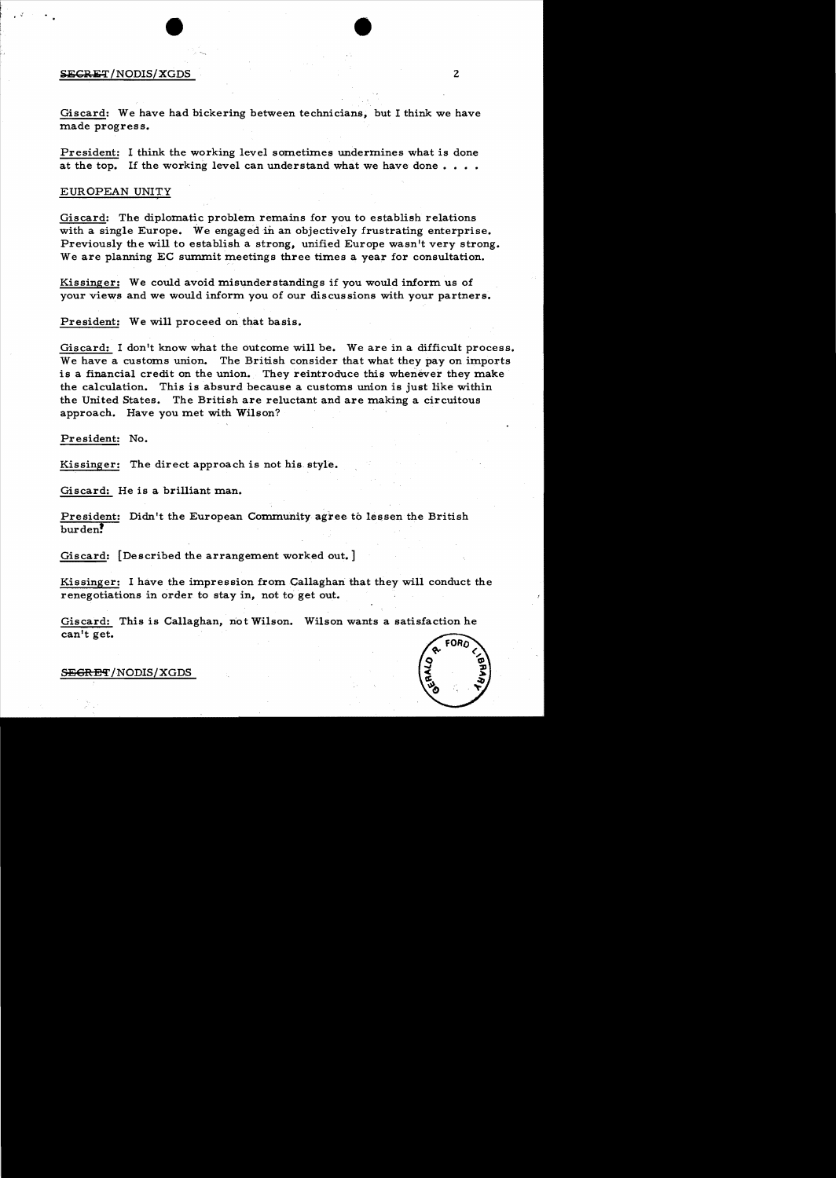# $SECRET/NODIS/XGDS$  2

..,

Giscard: We have had bickering between technicians, but I think we have made progress.

President: I think the working level sometimes undermines what is done at the top. If the working level can understand what we have done....

#### EUROPEAN UNITY,

Giscard: The diplomatic problem remains for you to establish relations with a single Europe. We engaged in an objectively frustrating enterprise. Previously the will to establish a strong, unified Europe wasn't very strong. We are planning EC summit meetings three times a year for consultation.

Kissinger: We could avoid misunderstandings if you would inform us of your views and we would inform you of our discussions with your partners.

President: We will proceed on that basis.

Giscard: I don't know what the outcome will be. We are in a difficult process. We have a customs union. The British consider that what they pay on imports is a financial credit on the union. They reintroduce this whenever they make the calculation. This is absurd because a customs union is just like within the United States. The British are reluctant and are making a circuitous approach. Have you met with Wilson?

President: No.

Kissinger: The direct approach is not his style.

Giscard: He is a brilliant man.

President: Didn't the European Community agree to lessen the British burden!

Giscard: [Described the arrangement worked out. ]

Kissinger: I have the impression from Gallaghan that they will conduct the renegotiations in order to stay in, not to get out.

Giscard: This is Callaghan, riot Wilson. Wilson wants a satisfaction he can't get.

S<del>EGRET</del>/NODIS/XGDS

•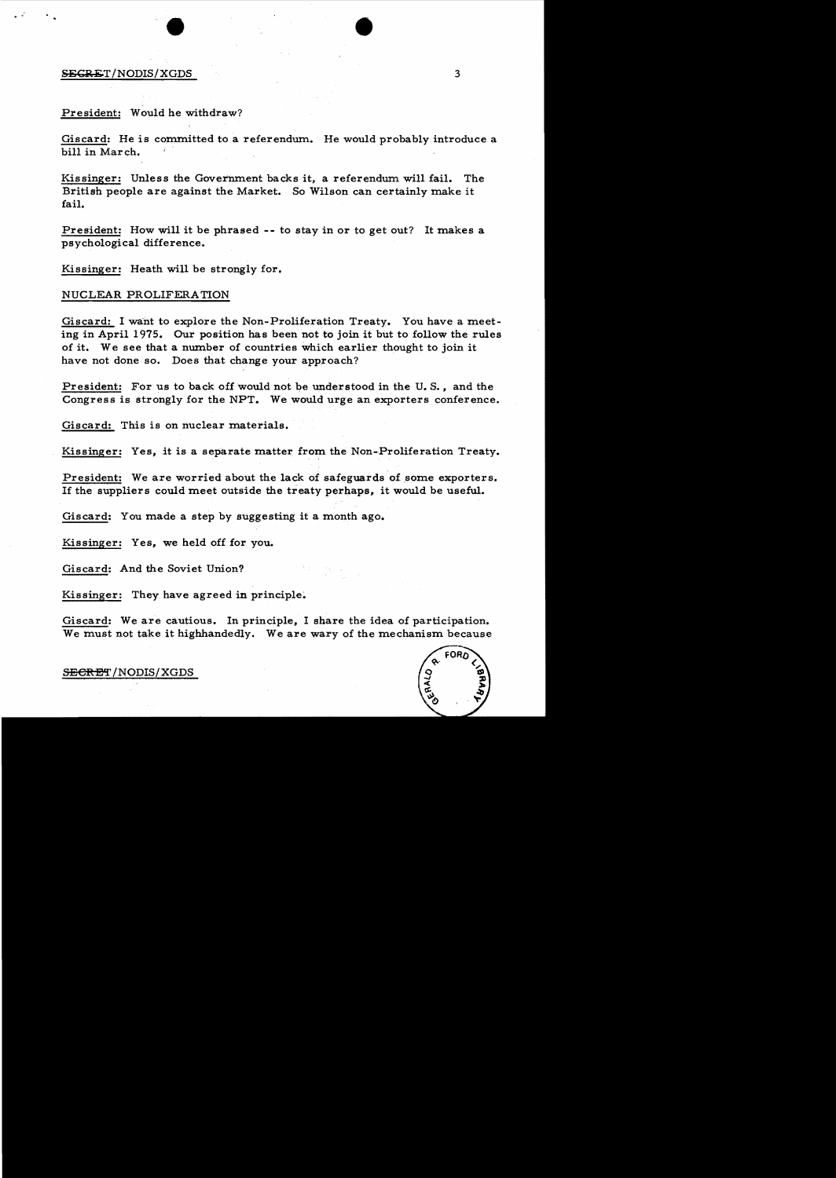#### $SEGRET/NODIS/XGDS$  3

#### President: Would he withdraw?

.. •

Giscard: He is committed to a referendum. He would probably introduce a bill in Mar ch.

Kissinger: Unless the Government backs it, a referendum will fail. The British people are against the Market. So Wilson can certainly make it fail.

President: How will it be phrased -- to stay in or to get out? It makes a psychological difference.

Kissinger: Heath will be strongly for.

#### NUCLEAR PROLIFERATION

Giscard: I want to explore the Non-Proliferation Treaty. You have a meeting in April 1975. Our position has been not to join it but to follow the rules of it. We see that a number of countries which earlier thought to join it have not done so. Does that change your approach?

President: For us to back off would not be understood in the U. S., and the Congress is strongly for the NPT. We would urge an exporters conference.

Giscard: This is on nuclear materials.

Kissinger: Yes, it is a separate matter from the Non-Proliferation Treaty.

President: We are worried about the lack of safeguards of some exporters. If the suppliers could meet outside the treaty perhaps, it would be useful.

Giscard: You made a step by suggesting it a month ago.

Kissinger: Yes, we held off for you.

Giscard: And the Soviet Union?

Kissinger: They have agreed in principle.

Giscard: We are cautious. In principle, I share the idea of participation. We must not take it higbhandedly. We are wary of the mechanism because

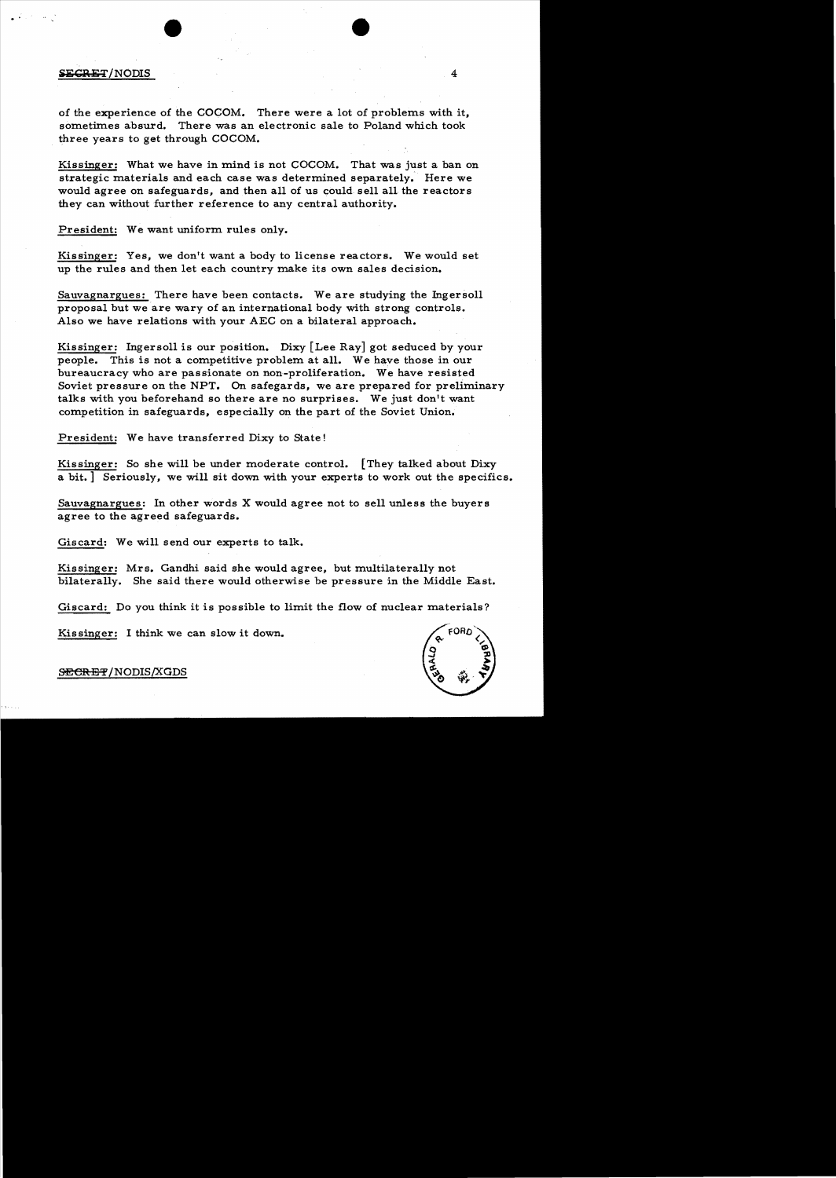**iii**CRET/NODIS 4

·.

of the experience of the COCOM. There were a lot of problems with it, sometimes absurd. There was an electronic sale to Poland which took three years to get through COCOM.

Kissinger: What we have in mind is not COCOM. That was just a ban on strategic materials and each case was determined separately. Here we would agree on safeguards, and then all of us could sell all the reactors they can without further reference to any central authority.

President: We want uniform rules only.

Kissinger: Yes, we don't want a body to license reactors. We would set up the rules and then let each country make its own sales decision.

Sauvagnargues: There have been contacts. We are studying the Ingersoll proposal but weare wary of an international body with strong controls. Also we have relations with your AEC on a bilateral approach.

Kissinger: Ingersoll is our position. Dixy [Lee Ray] got seduced by your people. This is not a competitive problem at all. We have those in our bureaucracy who are passionate on non-proliferation. We have resisted Soviet pressure on the NPT. On safegards, we are prepared for preliminary talks with you beforehand so there are no surprises. We just don't want competition in safeguards, especially on the part of the Soviet Union.

President: We have transferred Dixy to State!

Kissinger: So she will be under moderate control. [They talked about Dixy a bit.] Seriously, we will sit down with your experts to work out the specifics.

Sauvagnargues: In other words X would agree not to sell unless the buyers agree to the agreed safeguards.

Giscard: We will send our experts to talk.

Kissinger: Mrs. Gandhi said she would agree, but multilaterally not bilaterally. She said there would otherwise be pressure in the Middle East.

Giscard: Do you think it is possible to limit the flow of nuclear materials?

Kissinger: I think we can slow it down.

FORD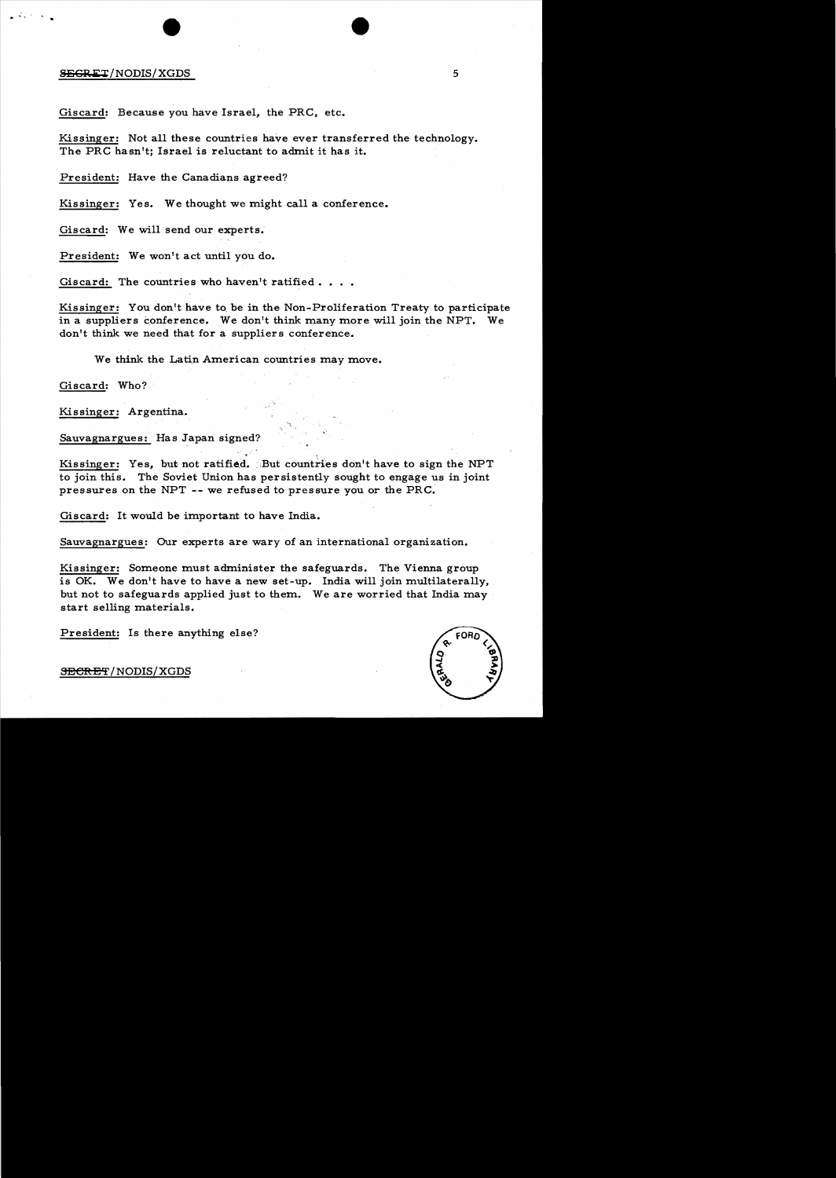#### **SEGRET**/NODIS/XGDS 5

 $\mathcal{L}^{(2)} \times \mathcal{L}^{(1)}$ 

Giscard: Because you have Israel, the PRC, etc.

Kissinger: Not all these countries have ever transferred the technology. The PRC hasn't; Israel is reluctant to admit it has it.

President: Have the Canadians agreed?

Kissinger: Yes. We thought we might call a conference.

Giscard: We will send our experts.

President: We won't act until you do.

Giscard: The countries who haven't ratified.

Kissinger: You don't have to, be in the Non-Proliferation Treaty to participate in a suppliers conference. We don't think many more will join the NPT. We don't think. we need that for a suppliers conference.

We think the Latin American countries may move.

Giscard: Who?

Kissinger: Argentina.

Sauvagnargues: Has Japan signed? ~.

Kissinger: Yes, but not ratified. But countries don't have to sign the NPT to join this. The Soviet Union has persistently sought to engage us in joint pressures on the NPT -- we refused to pressure you or the PRC.

Giscard: It would be important to have India.

Sauvagnargues: Our experts are wary of an international organization.

Kissinger: Someone must administer the safeguards. The Vienna group is OK. We don't have to have a new set-up. India will join multilaterally, but not to safeguards applied just to them. We are worried that India may start selling materials.

President: Is there anything else?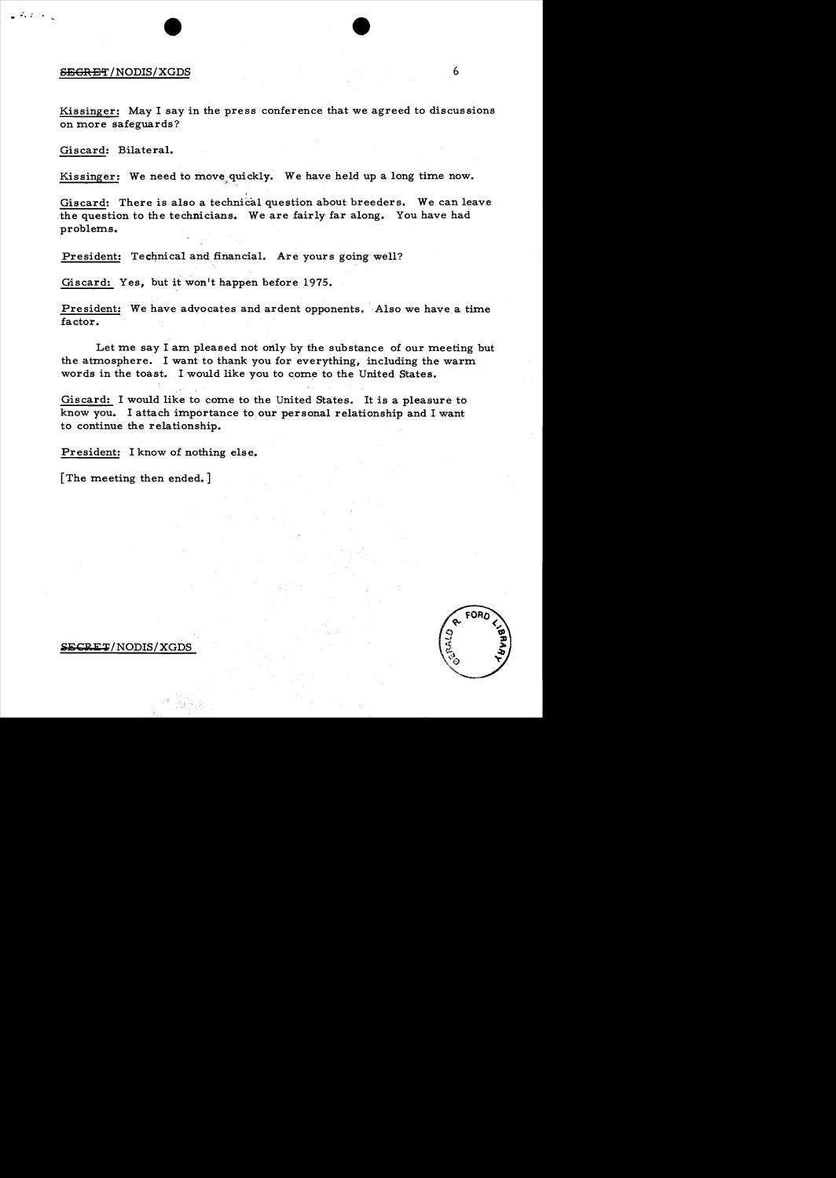#### SECRET/NODIS/XGDS 6

 $\mathcal{F}_\mathbf{c}(\mathcal{L}) \cong \mathbb{R}$ 

Kissinger: May I say in the press conference that we agreed to discussions on more safeguards?

Giscard: Bilateral.

Kissinger: We need to move,quickly. We have held up a long time now.

,

Giscard: There is also a technical question about breeders. We can leave the question to the technicians. We are fairly far along. You have had problems.

President: Technical and financial. Are yours going well?

Giscard: Yes, but it won't happen before 1975.

President: We have advocates and ardent opponents. Also we have a time factor.

Let me say I am pleased not only by the substance of our meeting but the atmosphere. I want to thank you for everything, including the warm words in the toast. I would like you to come to the United States.

Giscard: I would like to come to the United States. It is a pleasure to know you. I attach importance to our personal relationship and I want to continue the relationship.

President: I know of nothing else.

[The meeting then ended.]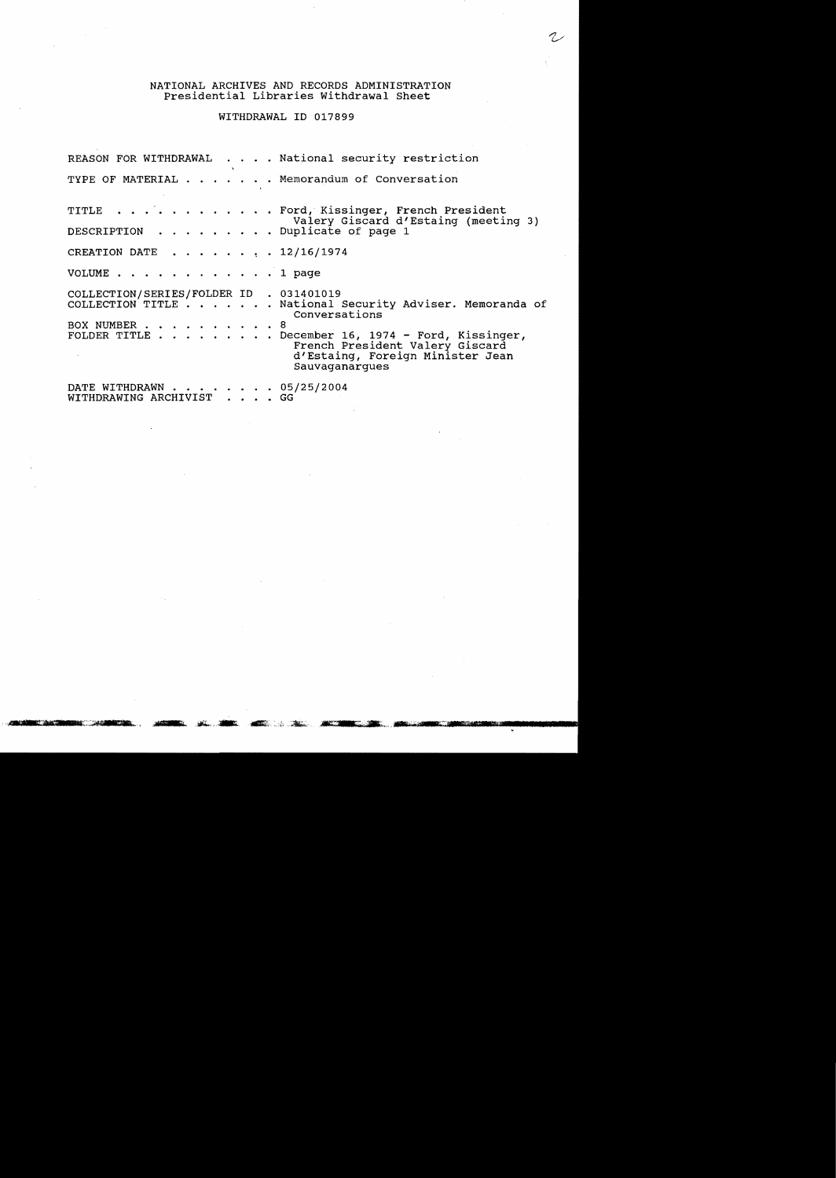# NATIONAL ARCHIVES AND RECORDS ADMINISTRATION Presidential Libraries withdrawal Sheet

# WITHDRAWAL ID 017899

|                                                         | REASON FOR WITHDRAWAL National security restriction                                                                                                                                                                     |
|---------------------------------------------------------|-------------------------------------------------------------------------------------------------------------------------------------------------------------------------------------------------------------------------|
|                                                         | TYPE OF MATERIAL Memorandum of Conversation                                                                                                                                                                             |
|                                                         | TITLE Ford, Kissinger, French President<br>Valery Giscard d'Estaing (meeting 3)                                                                                                                                         |
| DESCRIPTION Duplicate of page 1                         |                                                                                                                                                                                                                         |
| CREATION DATE 12/16/1974                                |                                                                                                                                                                                                                         |
| VOLUME 1 page                                           |                                                                                                                                                                                                                         |
| COLLECTION/SERIES/FOLDER ID . 031401019<br>BOX NUMBER 8 | COLLECTION TITLE National Security Adviser. Memoranda of<br>Conversations<br>FOLDER TITLE December 16, 1974 - Ford, Kissinger,<br>French President Valery Giscard<br>d'Estaing, Foreign Minister Jean<br>Sauvaganarques |
| DATE WITHDRAWN 05/25/2004<br>WITHDRAWING ARCHIVIST GG   |                                                                                                                                                                                                                         |